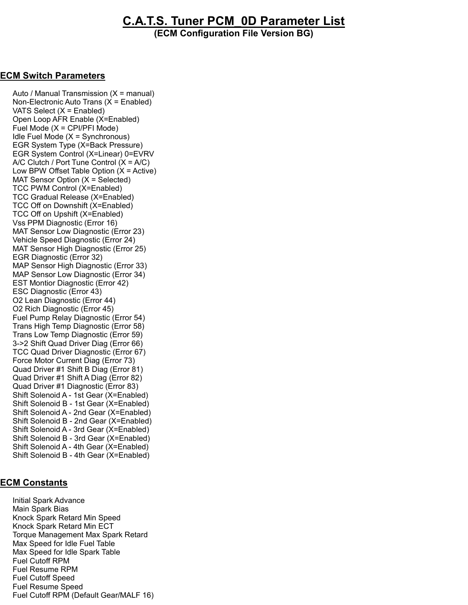## C.A.T.S. Tuner PCM\_0D Parameter List

(ECM Configuration File Version BG)

## ECM Switch Parameters

Auto / Manual Transmission  $(X = \text{manual})$  Non-Electronic Auto Trans (X = Enabled) VATS Select (X = Enabled) Open Loop AFR Enable (X=Enabled) Fuel Mode (X = CPI/PFI Mode) Idle Fuel Mode  $(X = Symchromous)$  EGR System Type (X=Back Pressure) EGR System Control (X=Linear) 0=EVRV A/C Clutch / Port Tune Control  $(X = A/C)$ Low BPW Offset Table Option  $(X = Active)$  MAT Sensor Option (X = Selected) TCC PWM Control (X=Enabled) TCC Gradual Release (X=Enabled) TCC Off on Downshift (X=Enabled) TCC Off on Upshift (X=Enabled) Vss PPM Diagnostic (Error 16) MAT Sensor Low Diagnostic (Error 23) Vehicle Speed Diagnostic (Error 24) MAT Sensor High Diagnostic (Error 25) EGR Diagnostic (Error 32) MAP Sensor High Diagnostic (Error 33) MAP Sensor Low Diagnostic (Error 34) EST Montior Diagnostic (Error 42) ESC Diagnostic (Error 43) O2 Lean Diagnostic (Error 44) O2 Rich Diagnostic (Error 45) Fuel Pump Relay Diagnostic (Error 54) Trans High Temp Diagnostic (Error 58) Trans Low Temp Diagnostic (Error 59) 3->2 Shift Quad Driver Diag (Error 66) TCC Quad Driver Diagnostic (Error 67) Force Motor Current Diag (Error 73) Quad Driver #1 Shift B Diag (Error 81) Quad Driver #1 Shift A Diag (Error 82) Quad Driver #1 Diagnostic (Error 83) Shift Solenoid A - 1st Gear (X=Enabled) Shift Solenoid B - 1st Gear (X=Enabled) Shift Solenoid A - 2nd Gear (X=Enabled) Shift Solenoid B - 2nd Gear (X=Enabled) Shift Solenoid A - 3rd Gear (X=Enabled) Shift Solenoid B - 3rd Gear (X=Enabled) Shift Solenoid A - 4th Gear (X=Enabled) Shift Solenoid B - 4th Gear (X=Enabled)

## **ECM Constants**

 Initial Spark Advance Main Spark Bias Knock Spark Retard Min Speed Knock Spark Retard Min ECT Torque Management Max Spark Retard Max Speed for Idle Fuel Table Max Speed for Idle Spark Table Fuel Cutoff RPM Fuel Resume RPM Fuel Cutoff Speed Fuel Resume Speed Fuel Cutoff RPM (Default Gear/MALF 16)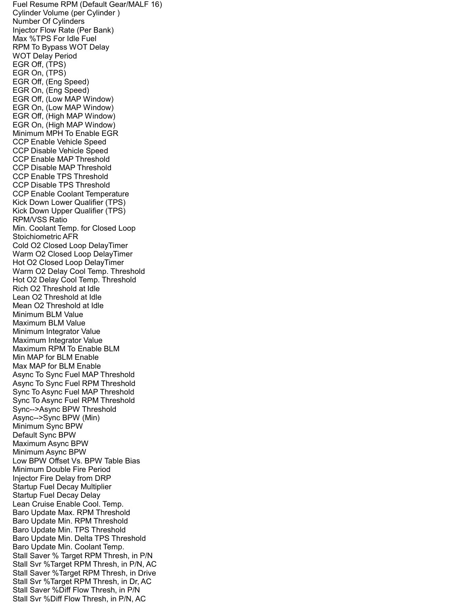Fuel Resume RPM (Default Gear/MALF 16) Cylinder Volume (per Cylinder ) Number Of Cylinders Injector Flow Rate (Per Bank) Max %TPS For Idle Fuel RPM To Bypass WOT Delay WOT Delay Period EGR Off, (TPS) EGR On, (TPS) EGR Off, (Eng Speed) EGR On, (Eng Speed) EGR Off, (Low MAP Window) EGR On, (Low MAP Window) EGR Off, (High MAP Window) EGR On, (High MAP Window) Minimum MPH To Enable EGR CCP Enable Vehicle Speed CCP Disable Vehicle Speed CCP Enable MAP Threshold CCP Disable MAP Threshold CCP Enable TPS Threshold CCP Disable TPS Threshold CCP Enable Coolant Temperature Kick Down Lower Qualifier (TPS) Kick Down Upper Qualifier (TPS) RPM/VSS Ratio Min. Coolant Temp. for Closed Loop Stoichiometric AFR Cold O2 Closed Loop DelayTimer Warm O2 Closed Loop DelayTimer Hot O2 Closed Loop DelayTimer Warm O2 Delay Cool Temp. Threshold Hot O2 Delay Cool Temp. Threshold Rich O2 Threshold at Idle Lean O2 Threshold at Idle Mean O2 Threshold at Idle Minimum BLM Value Maximum BLM Value Minimum Integrator Value Maximum Integrator Value Maximum RPM To Enable BLM Min MAP for BLM Enable Max MAP for BLM Enable Async To Sync Fuel MAP Threshold Async To Sync Fuel RPM Threshold Sync To Async Fuel MAP Threshold Sync To Async Fuel RPM Threshold Sync-->Async BPW Threshold Async-->Sync BPW (Min) Minimum Sync BPW Default Sync BPW Maximum Async BPW Minimum Async BPW Low BPW Offset Vs. BPW Table Bias Minimum Double Fire Period Injector Fire Delay from DRP Startup Fuel Decay Multiplier Startup Fuel Decay Delay Lean Cruise Enable Cool. Temp. Baro Update Max. RPM Threshold Baro Update Min. RPM Threshold Baro Update Min. TPS Threshold Baro Update Min. Delta TPS Threshold Baro Update Min. Coolant Temp. Stall Saver % Target RPM Thresh, in P/N Stall Svr %Target RPM Thresh, in P/N, AC Stall Saver %Target RPM Thresh, in Drive Stall Svr %Target RPM Thresh, in Dr, AC Stall Saver %Diff Flow Thresh, in P/N Stall Svr %Diff Flow Thresh, in P/N, AC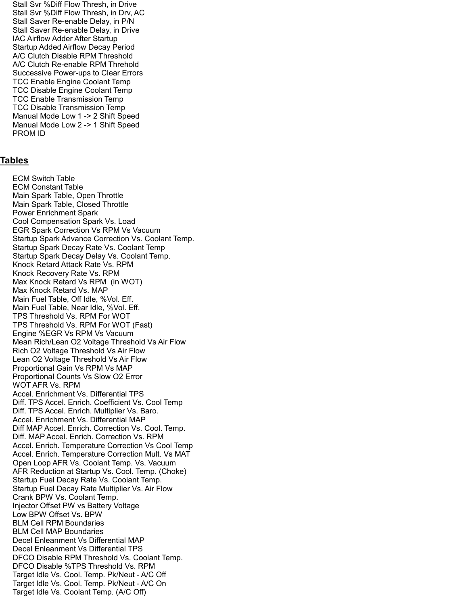Stall Svr %Diff Flow Thresh, in Drive Stall Svr %Diff Flow Thresh, in Drv, AC Stall Saver Re-enable Delay, in P/N Stall Saver Re-enable Delay, in Drive IAC Airflow Adder After Startup Startup Added Airflow Decay Period A/C Clutch Disable RPM Threshold A/C Clutch Re-enable RPM Threhold Successive Power-ups to Clear Errors TCC Enable Engine Coolant Temp TCC Disable Engine Coolant Temp TCC Enable Transmission Temp TCC Disable Transmission Temp Manual Mode Low 1 -> 2 Shift Speed Manual Mode Low 2 -> 1 Shift Speed PROM ID

## Ta<u>bles</u>

 ECM Switch Table ECM Constant Table Main Spark Table, Open Throttle Main Spark Table, Closed Throttle Power Enrichment Spark Cool Compensation Spark Vs. Load EGR Spark Correction Vs RPM Vs Vacuum Startup Spark Advance Correction Vs. Coolant Temp. Startup Spark Decay Rate Vs. Coolant Temp Startup Spark Decay Delay Vs. Coolant Temp. Knock Retard Attack Rate Vs. RPM Knock Recovery Rate Vs. RPM Max Knock Retard Vs RPM (in WOT) Max Knock Retard Vs. MAP Main Fuel Table, Off Idle, %Vol. Eff. Main Fuel Table, Near Idle, %Vol. Eff. TPS Threshold Vs. RPM For WOT TPS Threshold Vs. RPM For WOT (Fast) Engine %EGR Vs RPM Vs Vacuum Mean Rich/Lean O2 Voltage Threshold Vs Air Flow Rich O2 Voltage Threshold Vs Air Flow Lean O2 Voltage Threshold Vs Air Flow Proportional Gain Vs RPM Vs MAP Proportional Counts Vs Slow O2 Error WOT AFR Vs. RPM Accel. Enrichment Vs. Differential TPS Diff. TPS Accel. Enrich. Coefficient Vs. Cool Temp Diff. TPS Accel. Enrich. Multiplier Vs. Baro. Accel. Enrichment Vs. Differential MAP Diff MAP Accel. Enrich. Correction Vs. Cool. Temp. Diff. MAP Accel. Enrich. Correction Vs. RPM Accel. Enrich. Temperature Correction Vs Cool Temp Accel. Enrich. Temperature Correction Mult. Vs MAT Open Loop AFR Vs. Coolant Temp. Vs. Vacuum AFR Reduction at Startup Vs. Cool. Temp. (Choke) Startup Fuel Decay Rate Vs. Coolant Temp. Startup Fuel Decay Rate Multiplier Vs. Air Flow Crank BPW Vs. Coolant Temp. Injector Offset PW vs Battery Voltage Low BPW Offset Vs. BPW BLM Cell RPM Boundaries BLM Cell MAP Boundaries Decel Enleanment Vs Differential MAP Decel Enleanment Vs Differential TPS DFCO Disable RPM Threshold Vs. Coolant Temp. DFCO Disable %TPS Threshold Vs. RPM Target Idle Vs. Cool. Temp. Pk/Neut - A/C Off Target Idle Vs. Cool. Temp. Pk/Neut - A/C On Target Idle Vs. Coolant Temp. (A/C Off)